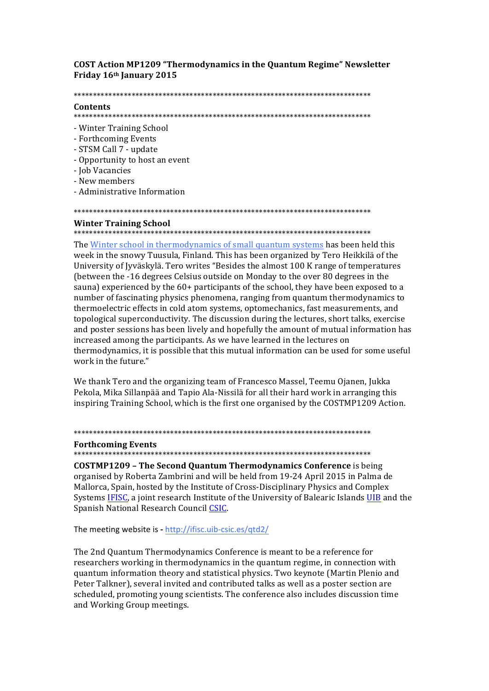## **COST Action MP1209 "Thermodynamics in the Quantum Regime" Newsletter** Friday 16th January 2015

#### 

## Contents

- Winter Training School
- Forthcoming Events
- STSM Call 7 update
- Opportunity to host an event
- Job Vacancies
- New members
- Administrative Information

## 

## **Winter Training School**

The Winter school in thermodynamics of small quantum systems has been held this week in the snowy Tuusula, Finland. This has been organized by Tero Heikkilä of the University of Jyväskylä. Tero writes "Besides the almost 100 K range of temperatures" (between the -16 degrees Celsius outside on Monday to the over 80 degrees in the sauna) experienced by the 60+ participants of the school, they have been exposed to a number of fascinating physics phenomena, ranging from quantum thermodynamics to thermoelectric effects in cold atom systems, optomechanics, fast measurements, and topological superconductivity. The discussion during the lectures, short talks, exercise and poster sessions has been lively and hopefully the amount of mutual information has increased among the participants. As we have learned in the lectures on thermodynamics, it is possible that this mutual information can be used for some useful work in the future."

We thank Tero and the organizing team of Francesco Massel, Teemu Ojanen, Jukka Pekola, Mika Sillanpää and Tapio Ala-Nissilä for all their hard work in arranging this inspiring Training School, which is the first one organised by the COSTMP1209 Action.

## **Forthcoming Events**

**COSTMP1209 - The Second Quantum Thermodynamics Conference** is being organised by Roberta Zambrini and will be held from 19-24 April 2015 in Palma de Mallorca, Spain, hosted by the Institute of Cross-Disciplinary Physics and Complex Systems IFISC, a joint research Institute of the University of Balearic Islands UIB and the Spanish National Research Council CSIC.

The meeting website is - http://ifisc.uib-csic.es/qtd2/

The 2nd Quantum Thermodynamics Conference is meant to be a reference for researchers working in thermodynamics in the quantum regime, in connection with quantum information theory and statistical physics. Two keynote (Martin Plenio and Peter Talkner), several invited and contributed talks as well as a poster section are scheduled, promoting young scientists. The conference also includes discussion time and Working Group meetings.